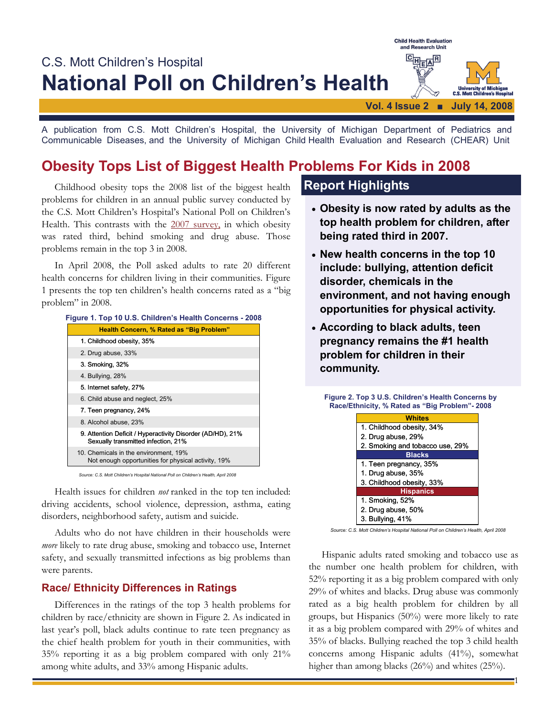

A publication from C.S. Mott Children's Hospital, the University of Michigan Department of Pediatrics and Communicable Diseases, and the University of Michigan Child Health Evaluation and Research (CHEAR) Unit

# **Obesity Tops List of Biggest Health Problems For Kids in 2008**

Childhood obesity tops the 2008 list of the biggest health problems for children in an annual public survey conducted by the C.S. Mott Children's Hospital's National Poll on Children's Health. This contrasts with the 2007 survey, in which obesity was rated third, behind smoking and drug abuse. Those problems remain in the top 3 in 2008.

 In April 2008, the Poll asked adults to rate 20 different health concerns for children living in their communities. Figure 1 presents the top ten children's health concerns rated as a "big problem" in 2008.

| Figure 1. Top 10 U.S. Children's Health Concerns - 2008 |                                                                                                   |
|---------------------------------------------------------|---------------------------------------------------------------------------------------------------|
| Health Concern, % Rated as "Big Problem"                |                                                                                                   |
| 1. Childhood obesity, 35%                               |                                                                                                   |
| 2. Drug abuse, 33%                                      |                                                                                                   |
| 3. Smoking, 32%                                         |                                                                                                   |
| 4. Bullying, 28%                                        |                                                                                                   |
| 5. Internet safety, 27%                                 |                                                                                                   |
| 6. Child abuse and neglect, 25%                         |                                                                                                   |
| 7. Teen pregnancy, 24%                                  |                                                                                                   |
| 8. Alcohol abuse, 23%                                   |                                                                                                   |
|                                                         | 9. Attention Deficit / Hyperactivity Disorder (AD/HD), 21%<br>Sexually transmitted infection, 21% |
|                                                         | 10. Chemicals in the environment, 19%<br>Not enough opportunities for physical activity, 19%      |

*Source: C.S. Mott Children's Hospital National Poll on Children's Health, April 2008*

 Health issues for children *not* ranked in the top ten included: driving accidents, school violence, depression, asthma, eating disorders, neighborhood safety, autism and suicide.

 Adults who do not have children in their households were *more* likely to rate drug abuse, smoking and tobacco use, Internet safety, and sexually transmitted infections as big problems than were parents.

## **Race/ Ethnicity Differences in Ratings**

Differences in the ratings of the top 3 health problems for children by race/ethnicity are shown in Figure 2. As indicated in last year's poll, black adults continue to rate teen pregnancy as the chief health problem for youth in their communities, with 35% reporting it as a big problem compared with only 21% among white adults, and 33% among Hispanic adults.

## **Report Highlights**

- **Obesity is now rated by adults as the top health problem for children, after being rated third in 2007.**
- **New health concerns in the top 10 include: bullying, attention deficit disorder, chemicals in the environment, and not having enough opportunities for physical activity.**
- **According to black adults, teen pregnancy remains the #1 health problem for children in their community.**

#### **Figure 2. Top 3 U.S. Children's Health Concerns by Race/Ethnicity, % Rated as "Big Problem"- 2008** 3. Bullying, 41% 2. Drug abuse, 50% 1. Smoking, 52% **Hispanics**  3. Childhood obesity, 33% 1. Drug abuse, 35% 1. Teen pregnancy, 35% **Blacks** 2. Smoking and tobacco use, 29% 2. Drug abuse, 29% 1. Childhood obesity, 34% **Whites**

*Source: C.S. Mott Children's Hospital National Poll on Children's Health, April 2008*

 Hispanic adults rated smoking and tobacco use as the number one health problem for children, with 52% reporting it as a big problem compared with only 29% of whites and blacks. Drug abuse was commonly rated as a big health problem for children by all groups, but Hispanics (50%) were more likely to rate it as a big problem compared with 29% of whites and 35% of blacks. Bullying reached the top 3 child health concerns among Hispanic adults (41%), somewhat higher than among blacks (26%) and whites (25%).

1